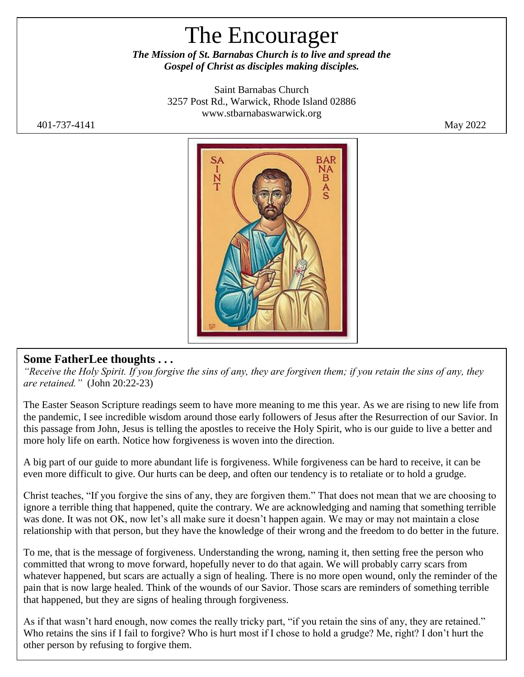# The Encourager

*The Mission of St. Barnabas Church is to live and spread the Gospel of Christ as disciples making disciples.*

> Saint Barnabas Church 3257 Post Rd., Warwick, Rhode Island 02886 [www.stbarnabaswarwick.org](http://www.stbarnabaswarwick.org/)



## **Some FatherLee thoughts . . .**

*"Receive the Holy Spirit. If you forgive the sins of any, they are forgiven them; if you retain the sins of any, they are retained."* (John 20:22-23)

The Easter Season Scripture readings seem to have more meaning to me this year. As we are rising to new life from the pandemic, I see incredible wisdom around those early followers of Jesus after the Resurrection of our Savior. In this passage from John, Jesus is telling the apostles to receive the Holy Spirit, who is our guide to live a better and more holy life on earth. Notice how forgiveness is woven into the direction.

A big part of our guide to more abundant life is forgiveness. While forgiveness can be hard to receive, it can be even more difficult to give. Our hurts can be deep, and often our tendency is to retaliate or to hold a grudge.

Christ teaches, "If you forgive the sins of any, they are forgiven them." That does not mean that we are choosing to ignore a terrible thing that happened, quite the contrary. We are acknowledging and naming that something terrible was done. It was not OK, now let's all make sure it doesn't happen again. We may or may not maintain a close relationship with that person, but they have the knowledge of their wrong and the freedom to do better in the future.

To me, that is the message of forgiveness. Understanding the wrong, naming it, then setting free the person who committed that wrong to move forward, hopefully never to do that again. We will probably carry scars from whatever happened, but scars are actually a sign of healing. There is no more open wound, only the reminder of the pain that is now large healed. Think of the wounds of our Savior. Those scars are reminders of something terrible that happened, but they are signs of healing through forgiveness.

As if that wasn't hard enough, now comes the really tricky part, "if you retain the sins of any, they are retained." Who retains the sins if I fail to forgive? Who is hurt most if I chose to hold a grudge? Me, right? I don't hurt the other person by refusing to forgive them.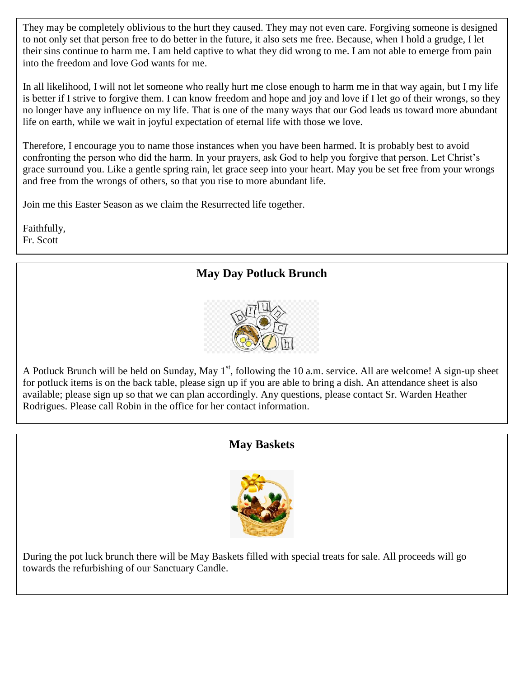They may be completely oblivious to the hurt they caused. They may not even care. Forgiving someone is designed to not only set that person free to do better in the future, it also sets me free. Because, when I hold a grudge, I let their sins continue to harm me. I am held captive to what they did wrong to me. I am not able to emerge from pain into the freedom and love God wants for me.

In all likelihood, I will not let someone who really hurt me close enough to harm me in that way again, but I my life is better if I strive to forgive them. I can know freedom and hope and joy and love if I let go of their wrongs, so they no longer have any influence on my life. That is one of the many ways that our God leads us toward more abundant life on earth, while we wait in joyful expectation of eternal life with those we love.

Therefore, I encourage you to name those instances when you have been harmed. It is probably best to avoid confronting the person who did the harm. In your prayers, ask God to help you forgive that person. Let Christ's grace surround you. Like a gentle spring rain, let grace seep into your heart. May you be set free from your wrongs and free from the wrongs of others, so that you rise to more abundant life.

Join me this Easter Season as we claim the Resurrected life together.

Faithfully, Fr. Scott

# **May Day Potluck Brunch**



A Potluck Brunch will be held on Sunday, May  $1<sup>st</sup>$ , following the 10 a.m. service. All are welcome! A sign-up sheet for potluck items is on the back table, please sign up if you are able to bring a dish. An attendance sheet is also available; please sign up so that we can plan accordingly. Any questions, please contact Sr. Warden Heather Rodrigues. Please call Robin in the office for her contact information.

## **May Baskets**



During the pot luck brunch there will be May Baskets filled with special treats for sale. All proceeds will go towards the refurbishing of our Sanctuary Candle.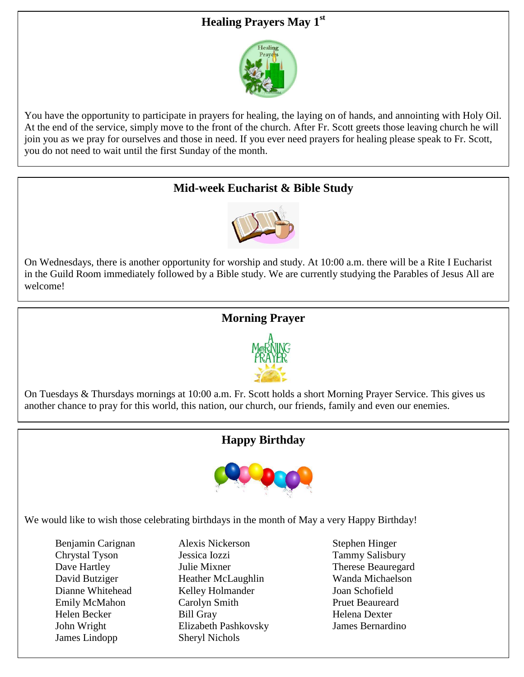# **Healing Prayers May 1st**



You have the opportunity to participate in prayers for healing, the laying on of hands, and annointing with Holy Oil. At the end of the service, simply move to the front of the church. After Fr. Scott greets those leaving church he will join you as we pray for ourselves and those in need. If you ever need prayers for healing please speak to Fr. Scott, you do not need to wait until the first Sunday of the month.

# **Mid-week Eucharist & Bible Study**



On Wednesdays, there is another opportunity for worship and study. At 10:00 a.m. there will be a Rite I Eucharist in the Guild Room immediately followed by a Bible study. We are currently studying the Parables of Jesus All are welcome!

## **Morning Prayer**



On Tuesdays & Thursdays mornings at 10:00 a.m. Fr. Scott holds a short Morning Prayer Service. This gives us another chance to pray for this world, this nation, our church, our friends, family and even our enemies.

## **Happy Birthday**



We would like to wish those celebrating birthdays in the month of May a very Happy Birthday!

James Lindopp Sheryl Nichols

Benjamin Carignan Alexis Nickerson Stephen Hinger Chrystal Tyson Jessica Iozzi Tammy Salisbury Dave Hartley **Iulie Mixner** Therese Beauregard David Butziger Heather McLaughlin Wanda Michaelson Dianne Whitehead Kelley Holmander Joan Schofield Emily McMahon Carolyn Smith Pruet Beaureard Helen Becker Bill Gray Bill Gray Helena Dexter John Wright Elizabeth Pashkovsky James Bernardino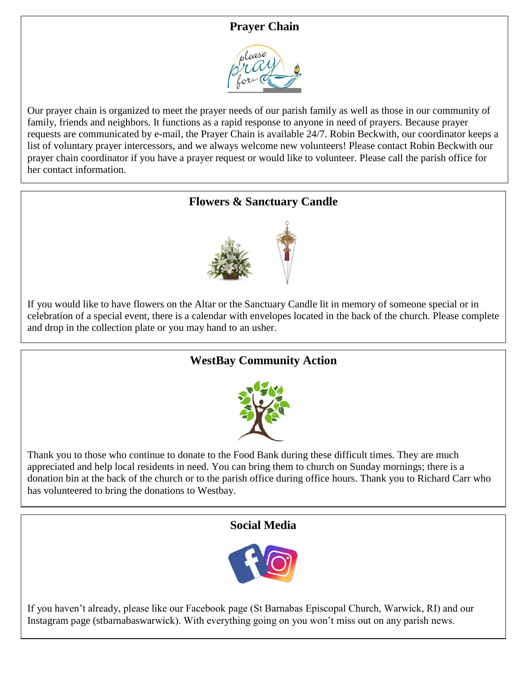## **Prayer Chain**



Our prayer chain is organized to meet the prayer needs of our parish family as well as those in our community of family, friends and neighbors. It functions as a rapid response to anyone in need of prayers. Because prayer requests are communicated by e-mail, the Prayer Chain is available 24/7. Robin Beckwith, our coordinator keeps a list of voluntary prayer intercessors, and we always welcome new volunteers! Please contact Robin Beckwith our prayer chain coordinator if you have a prayer request or would like to volunteer. Please call the parish office for her contact information.

# **Flowers & Sanctuary Candle**



If you would like to have flowers on the Altar or the Sanctuary Candle lit in memory of someone special or in celebration of a special event, there is a calendar with envelopes located in the back of the church. Please complete and drop in the collection plate or you may hand to an usher.

# **WestBay Community Action**



Thank you to those who continue to donate to the Food Bank during these difficult times. They are much appreciated and help local residents in need. You can bring them to church on Sunday mornings; there is a donation bin at the back of the church or to the parish office during office hours. Thank you to Richard Carr who has volunteered to bring the donations to Westbay.

## **Social Media**



If you haven't already, please like our Facebook page (St Barnabas Episcopal Church, Warwick, RI) and our Instagram page (stbarnabaswarwick). With everything going on you won't miss out on any parish news.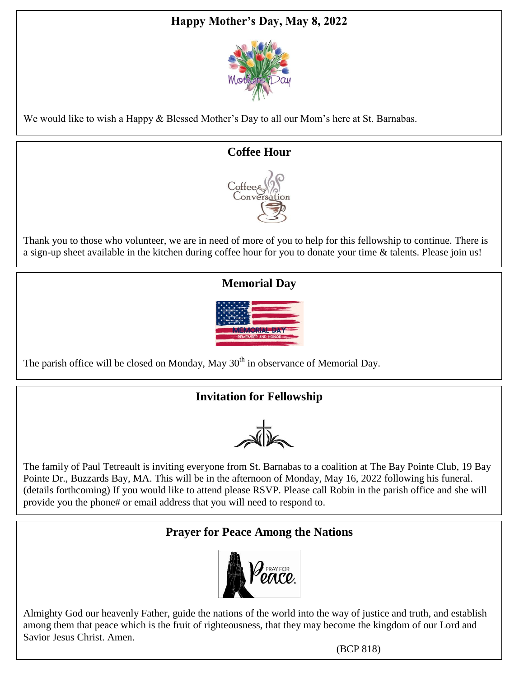# **Happy Mother's Day, May 8, 2022**



We would like to wish a Happy & Blessed Mother's Day to all our Mom's here at St. Barnabas.

#### **Coffee Hour**



Thank you to those who volunteer, we are in need of more of you to help for this fellowship to continue. There is a sign-up sheet available in the kitchen during coffee hour for you to donate your time & talents. Please join us!

# **Memorial Day**



The parish office will be closed on Monday, May  $30<sup>th</sup>$  in observance of Memorial Day.

# **Invitation for Fellowship**

 $\sqrt{16}$ 

The family of Paul Tetreault is inviting everyone from St. Barnabas to a coalition at The Bay Pointe Club, 19 Bay Pointe Dr., Buzzards Bay, MA. This will be in the afternoon of Monday, May 16, 2022 following his funeral. (details forthcoming) If you would like to attend please RSVP. Please call Robin in the parish office and she will provide you the phone# or email address that you will need to respond to.

## **Prayer for Peace Among the Nations**



Almighty God our heavenly Father, guide the nations of the world into the way of justice and truth, and establish among them that peace which is the fruit of righteousness, that they may become the kingdom of our Lord and Savior Jesus Christ. Amen.

(BCP 818)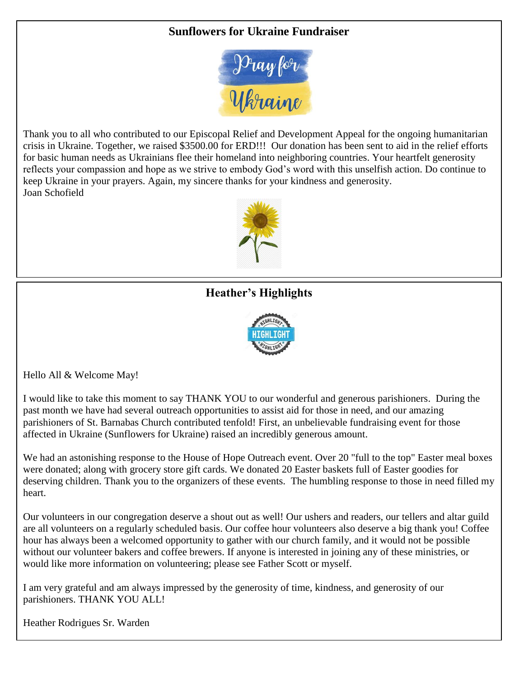#### **Sunflowers for Ukraine Fundraiser**



Thank you to all who contributed to our Episcopal Relief and Development Appeal for the ongoing humanitarian crisis in Ukraine. Together, we raised \$3500.00 for ERD!!! Our donation has been sent to aid in the relief efforts for basic human needs as Ukrainians flee their homeland into neighboring countries. Your heartfelt generosity reflects your compassion and hope as we strive to embody God's word with this unselfish action. Do continue to keep Ukraine in your prayers. Again, my sincere thanks for your kindness and generosity. Joan Schofield



# **Heather's Highlights**



Hello All & Welcome May!

I would like to take this moment to say THANK YOU to our wonderful and generous parishioners. During the past month we have had several outreach opportunities to assist aid for those in need, and our amazing parishioners of St. Barnabas Church contributed tenfold! First, an unbelievable fundraising event for those affected in Ukraine (Sunflowers for Ukraine) raised an incredibly generous amount.

We had an astonishing response to the House of Hope Outreach event. Over 20 "full to the top" Easter meal boxes were donated; along with grocery store gift cards. We donated 20 Easter baskets full of Easter goodies for deserving children. Thank you to the organizers of these events. The humbling response to those in need filled my heart.

Our volunteers in our congregation deserve a shout out as well! Our ushers and readers, our tellers and altar guild are all volunteers on a regularly scheduled basis. Our coffee hour volunteers also deserve a big thank you! Coffee hour has always been a welcomed opportunity to gather with our church family, and it would not be possible without our volunteer bakers and coffee brewers. If anyone is interested in joining any of these ministries, or would like more information on volunteering; please see Father Scott or myself.

I am very grateful and am always impressed by the generosity of time, kindness, and generosity of our parishioners. THANK YOU ALL!

Heather Rodrigues Sr. Warden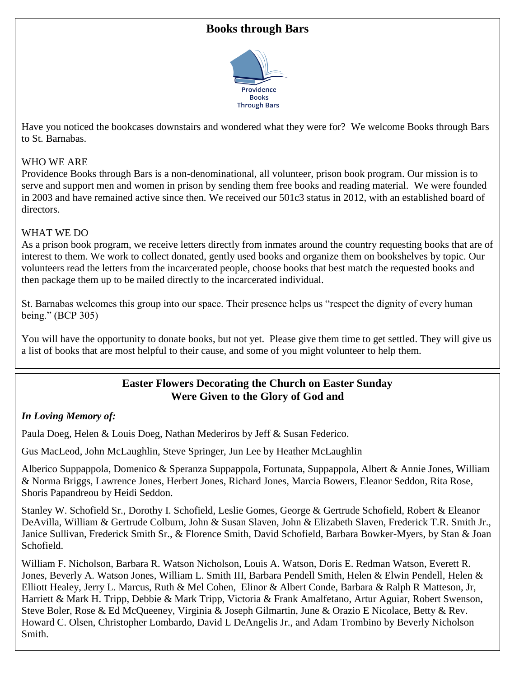#### **Books through Bars**



Have you noticed the bookcases downstairs and wondered what they were for? We welcome Books through Bars to St. Barnabas.

#### WHO WE ARE

Providence Books through Bars is a non-denominational, all volunteer, prison book program. Our mission is to serve and support men and women in prison by sending them free books and reading material. We were founded in 2003 and have remained active since then. We received our 501c3 status in 2012, with an established board of directors.

#### WHAT WE DO

As a prison book program, we receive letters directly from inmates around the country requesting books that are of interest to them. We work to collect donated, gently used books and organize them on bookshelves by topic. Our volunteers read the letters from the incarcerated people, choose books that best match the requested books and then package them up to be mailed directly to the incarcerated individual.

St. Barnabas welcomes this group into our space. Their presence helps us "respect the dignity of every human being." (BCP 305)

You will have the opportunity to donate books, but not yet. Please give them time to get settled. They will give us a list of books that are most helpful to their cause, and some of you might volunteer to help them.

#### **Easter Flowers Decorating the Church on Easter Sunday Were Given to the Glory of God and**

#### *In Loving Memory of:*

Paula Doeg, Helen & Louis Doeg, Nathan Mederiros by Jeff & Susan Federico.

Gus MacLeod, John McLaughlin, Steve Springer, Jun Lee by Heather McLaughlin

Alberico Suppappola, Domenico & Speranza Suppappola, Fortunata, Suppappola, Albert & Annie Jones, William & Norma Briggs, Lawrence Jones, Herbert Jones, Richard Jones, Marcia Bowers, Eleanor Seddon, Rita Rose, Shoris Papandreou by Heidi Seddon.

Stanley W. Schofield Sr., Dorothy I. Schofield, Leslie Gomes, George & Gertrude Schofield, Robert & Eleanor DeAvilla, William & Gertrude Colburn, John & Susan Slaven, John & Elizabeth Slaven, Frederick T.R. Smith Jr., Janice Sullivan, Frederick Smith Sr., & Florence Smith, David Schofield, Barbara Bowker-Myers, by Stan & Joan Schofield.

William F. Nicholson, Barbara R. Watson Nicholson, Louis A. Watson, Doris E. Redman Watson, Everett R. Jones, Beverly A. Watson Jones, William L. Smith III, Barbara Pendell Smith, Helen & Elwin Pendell, Helen & Elliott Healey, Jerry L. Marcus, Ruth & Mel Cohen, Elinor & Albert Conde, Barbara & Ralph R Matteson, Jr, Harriett & Mark H. Tripp, Debbie & Mark Tripp, Victoria & Frank Amalfetano, Artur Aguiar, Robert Swenson, Steve Boler, Rose & Ed McQueeney, Virginia & Joseph Gilmartin, June & Orazio E Nicolace, Betty & Rev. Howard C. Olsen, Christopher Lombardo, David L DeAngelis Jr., and Adam Trombino by Beverly Nicholson Smith.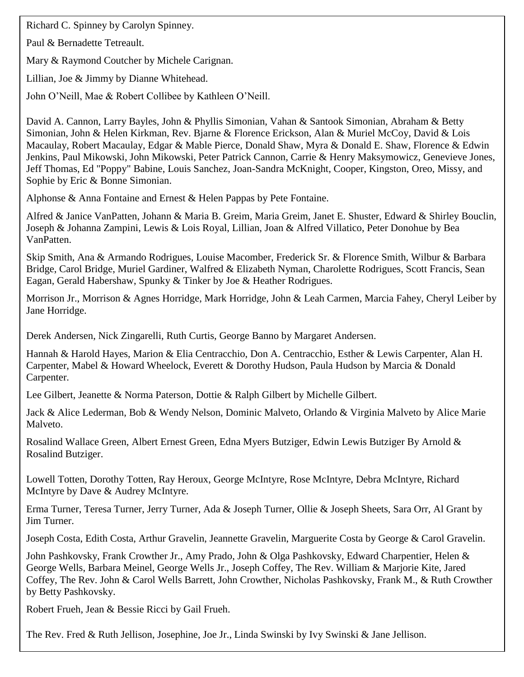Richard C. Spinney by Carolyn Spinney.

Paul & Bernadette Tetreault.

Mary & Raymond Coutcher by Michele Carignan.

Lillian, Joe & Jimmy by Dianne Whitehead.

John O'Neill, Mae & Robert Collibee by Kathleen O'Neill.

David A. Cannon, Larry Bayles, John & Phyllis Simonian, Vahan & Santook Simonian, Abraham & Betty Simonian, John & Helen Kirkman, Rev. Bjarne & Florence Erickson, Alan & Muriel McCoy, David & Lois Macaulay, Robert Macaulay, Edgar & Mable Pierce, Donald Shaw, Myra & Donald E. Shaw, Florence & Edwin Jenkins, Paul Mikowski, John Mikowski, Peter Patrick Cannon, Carrie & Henry Maksymowicz, Genevieve Jones, Jeff Thomas, Ed "Poppy" Babine, Louis Sanchez, Joan-Sandra McKnight, Cooper, Kingston, Oreo, Missy, and Sophie by Eric & Bonne Simonian.

Alphonse & Anna Fontaine and Ernest & Helen Pappas by Pete Fontaine.

Alfred & Janice VanPatten, Johann & Maria B. Greim, Maria Greim, Janet E. Shuster, Edward & Shirley Bouclin, Joseph & Johanna Zampini, Lewis & Lois Royal, Lillian, Joan & Alfred Villatico, Peter Donohue by Bea VanPatten.

Skip Smith, Ana & Armando Rodrigues, Louise Macomber, Frederick Sr. & Florence Smith, Wilbur & Barbara Bridge, Carol Bridge, Muriel Gardiner, Walfred & Elizabeth Nyman, Charolette Rodrigues, Scott Francis, Sean Eagan, Gerald Habershaw, Spunky & Tinker by Joe & Heather Rodrigues.

Morrison Jr., Morrison & Agnes Horridge, Mark Horridge, John & Leah Carmen, Marcia Fahey, Cheryl Leiber by Jane Horridge.

Derek Andersen, Nick Zingarelli, Ruth Curtis, George Banno by Margaret Andersen.

Hannah & Harold Hayes, Marion & Elia Centracchio, Don A. Centracchio, Esther & Lewis Carpenter, Alan H. Carpenter, Mabel & Howard Wheelock, Everett & Dorothy Hudson, Paula Hudson by Marcia & Donald Carpenter.

Lee Gilbert, Jeanette & Norma Paterson, Dottie & Ralph Gilbert by Michelle Gilbert.

Jack & Alice Lederman, Bob & Wendy Nelson, Dominic Malveto, Orlando & Virginia Malveto by Alice Marie Malveto.

Rosalind Wallace Green, Albert Ernest Green, Edna Myers Butziger, Edwin Lewis Butziger By Arnold & Rosalind Butziger.

Lowell Totten, Dorothy Totten, Ray Heroux, George McIntyre, Rose McIntyre, Debra McIntyre, Richard McIntyre by Dave & Audrey McIntyre.

Erma Turner, Teresa Turner, Jerry Turner, Ada & Joseph Turner, Ollie & Joseph Sheets, Sara Orr, Al Grant by Jim Turner.

Joseph Costa, Edith Costa, Arthur Gravelin, Jeannette Gravelin, Marguerite Costa by George & Carol Gravelin.

John Pashkovsky, Frank Crowther Jr., Amy Prado, John & Olga Pashkovsky, Edward Charpentier, Helen & George Wells, Barbara Meinel, George Wells Jr., Joseph Coffey, The Rev. William & Marjorie Kite, Jared Coffey, The Rev. John & Carol Wells Barrett, John Crowther, Nicholas Pashkovsky, Frank M., & Ruth Crowther by Betty Pashkovsky.

Robert Frueh, Jean & Bessie Ricci by Gail Frueh.

The Rev. Fred & Ruth Jellison, Josephine, Joe Jr., Linda Swinski by Ivy Swinski & Jane Jellison.